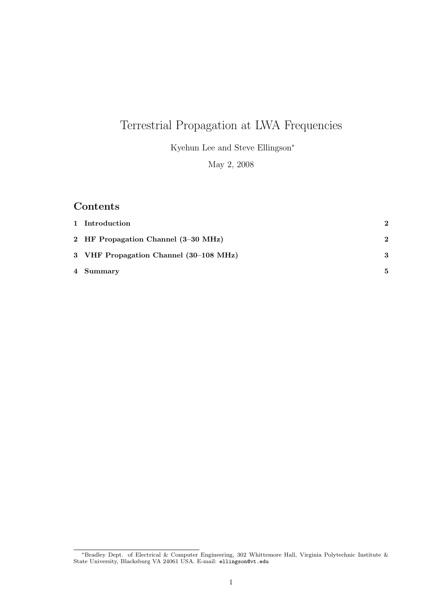# Terrestrial Propagation at LWA Frequencies

Kyehun Lee and Steve Ellingson<sup>∗</sup>

May 2, 2008

## Contents

| 1 Introduction                         | $\mathbf{2}$ |
|----------------------------------------|--------------|
| 2 HF Propagation Channel (3-30 MHz)    | $\mathbf{2}$ |
| 3 VHF Propagation Channel (30–108 MHz) | 3            |
| 4 Summary                              | 5.           |

<sup>∗</sup>Bradley Dept. of Electrical & Computer Engineering, 302 Whittemore Hall, Virginia Polytechnic Institute & State University, Blacksburg VA 24061 USA. E-mail: ellingson@vt.edu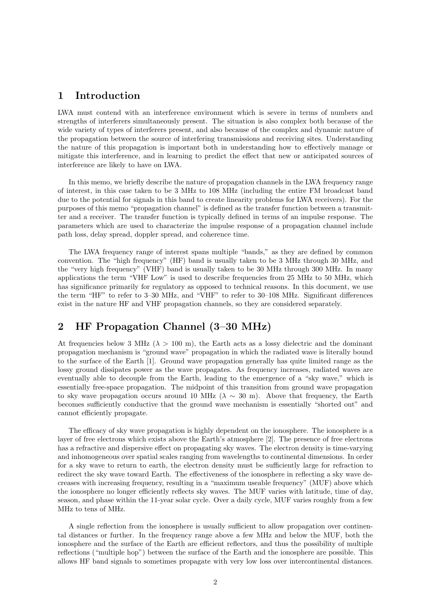## 1 Introduction

LWA must contend with an interference environment which is severe in terms of numbers and strengths of interferers simultaneously present. The situation is also complex both because of the wide variety of types of interferers present, and also because of the complex and dynamic nature of the propagation between the source of interfering transmissions and receiving sites. Understanding the nature of this propagation is important both in understanding how to effectively manage or mitigate this interference, and in learning to predict the effect that new or anticipated sources of interference are likely to have on LWA.

In this memo, we briefly describe the nature of propagation channels in the LWA frequency range of interest, in this case taken to be 3 MHz to 108 MHz (including the entire FM broadcast band due to the potential for signals in this band to create linearity problems for LWA receivers). For the purposes of this memo "propagation channel" is defined as the transfer function between a transmitter and a receiver. The transfer function is typically defined in terms of an impulse response. The parameters which are used to characterize the impulse response of a propagation channel include path loss, delay spread, doppler spread, and coherence time.

The LWA frequency range of interest spans multiple "bands," as they are defined by common convention. The "high frequency" (HF) band is usually taken to be 3 MHz through 30 MHz, and the "very high frequency" (VHF) band is usually taken to be 30 MHz through 300 MHz. In many applications the term "VHF Low" is used to describe frequencies from 25 MHz to 50 MHz, which has significance primarily for regulatory as opposed to technical reasons. In this document, we use the term "HF" to refer to 3–30 MHz, and "VHF" to refer to 30–108 MHz. Significant differences exist in the nature HF and VHF propagation channels, so they are considered separately.

## 2 HF Propagation Channel (3–30 MHz)

At frequencies below 3 MHz ( $\lambda > 100$  m), the Earth acts as a lossy dielectric and the dominant propagation mechanism is "ground wave" propagation in which the radiated wave is literally bound to the surface of the Earth [1]. Ground wave propagation generally has quite limited range as the lossy ground dissipates power as the wave propagates. As frequency increases, radiated waves are eventually able to decouple from the Earth, leading to the emergence of a "sky wave," which is essentially free-space propagation. The midpoint of this transition from ground wave propagation to sky wave propagation occurs around 10 MHz ( $\lambda \sim 30$  m). Above that frequency, the Earth becomes sufficiently conductive that the ground wave mechanism is essentially "shorted out" and cannot efficiently propagate.

The efficacy of sky wave propagation is highly dependent on the ionosphere. The ionosphere is a layer of free electrons which exists above the Earth's atmosphere [2]. The presence of free electrons has a refractive and dispersive effect on propagating sky waves. The electron density is time-varying and inhomogeneous over spatial scales ranging from wavelengths to continental dimensions. In order for a sky wave to return to earth, the electron density must be sufficiently large for refraction to redirect the sky wave toward Earth. The effectiveness of the ionosphere in reflecting a sky wave decreases with increasing frequency, resulting in a "maximum useable frequency" (MUF) above which the ionosphere no longer efficiently reflects sky waves. The MUF varies with latitude, time of day, season, and phase within the 11-year solar cycle. Over a daily cycle, MUF varies roughly from a few MHz to tens of MHz.

A single reflection from the ionosphere is usually sufficient to allow propagation over continental distances or further. In the frequency range above a few MHz and below the MUF, both the ionosphere and the surface of the Earth are efficient reflectors, and thus the possibility of multiple reflections ("multiple hop") between the surface of the Earth and the ionosphere are possible. This allows HF band signals to sometimes propagate with very low loss over intercontinental distances.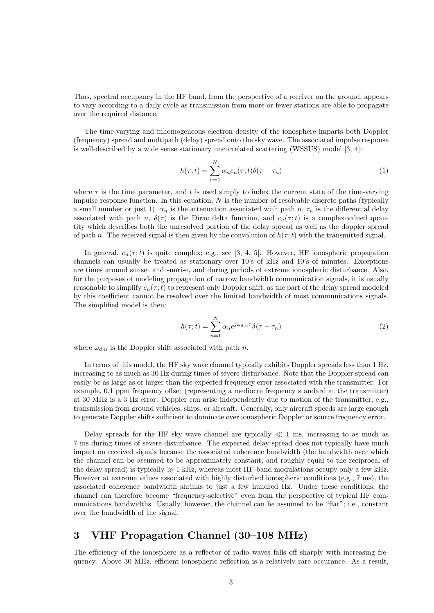Thus, spectral occupancy in the HF band, from the perspective of a receiver on the ground, appears to vary according to a daily cycle as transmission from more or fewer stations are able to propagate over the required distance.

The time-varying and inhomogeneous electron density of the ionosphere imparts both Doppler (frequency) spread and multipath (delay) spread onto the sky wave. The associated impulse response is well-described by a wide sense stationary uncorrelated scattering (WSSUS) model [3, 4]:

$$
h(\tau;t) = \sum_{n=1}^{N} \alpha_n c_n(\tau;t) \delta(\tau - \tau_n)
$$
\n(1)

where  $\tau$  is the time parameter, and t is used simply to index the current state of the time-varying impulse response function. In this equation,  $N$  is the number of resolvable discrete paths (typically a small number or just 1),  $\alpha_n$  is the attenuation associated with path n,  $\tau_n$  is the differential delay associated with path n,  $\delta(\tau)$  is the Dirac delta function, and  $c_n(\tau; t)$  is a complex-valued quantity which describes both the unresolved portion of the delay spread as well as the doppler spread of path n. The received signal is then given by the convolution of  $h(\tau; t)$  with the transmitted signal.

In general,  $c_n(\tau; t)$  is quite complex; e.g., see [3, 4, 5]. However, HF ionospheric propagation channels can usually be treated as stationary over 10's of kHz and 10's of minutes. Exceptions are times around sunset and sunrise, and during periods of extreme ionospheric disturbance. Also, for the purposes of modeling propagation of narrow bandwidth communication signals, it is usually reasonable to simplify  $c_n(\tau; t)$  to represent only Doppler shift, as the part of the delay spread modeled by this coefficient cannot be resolved over the limited bandwidth of most communications signals. The simplified model is then:

$$
h(\tau;t) = \sum_{n=1}^{N} \alpha_n e^{j\omega_{d,n}\tau} \delta(\tau - \tau_n)
$$
\n(2)

where  $\omega_{d,n}$  is the Doppler shift associated with path n.

In terms of this model, the HF sky wave channel typically exhibits Doppler spreads less than 1 Hz, increasing to as much as 30 Hz during times of severe disturbance. Note that the Doppler spread can easily be as large as or larger than the expected frequency error associated with the transmitter: For example, 0.1 ppm frequency offset (representing a mediocre frequency standard at the transmitter) at 30 MHz is a 3 Hz error. Doppler can arise independently due to motion of the transmitter; e.g., transmission from ground vehicles, ships, or aircraft. Generally, only aircraft speeds are large enough to generate Doppler shifts sufficient to dominate over ionospheric Doppler or source frequency error.

Delay spreads for the HF sky wave channel are typically  $\ll 1$  ms, increasing to as much as 7 ms during times of severe disturbance. The expected delay spread does not typically have much impact on received signals because the associated coherence bandwidth (the bandwidth over which the channel can be assumed to be approximately constant, and roughly equal to the reciprocal of the delay spread) is typically  $\gg 1$  kHz, whereas most HF-band modulations occupy only a few kHz. However at extreme values associated with highly disturbed ionospheric conditions (e.g., 7 ms), the associated coherence bandwidth shrinks to just a few hundred Hz. Under these conditions, the channel can therefore become "frequency-selective" even from the perspective of typical HF communications bandwidths. Usually, however, the channel can be assumed to be "flat"; i.e., constant over the bandwidth of the signal.

### 3 VHF Propagation Channel (30–108 MHz)

The efficiency of the ionosphere as a reflector of radio waves falls off sharply with increasing frequency. Above 30 MHz, efficient ionospheric reflection is a relatively rare occurance. As a result,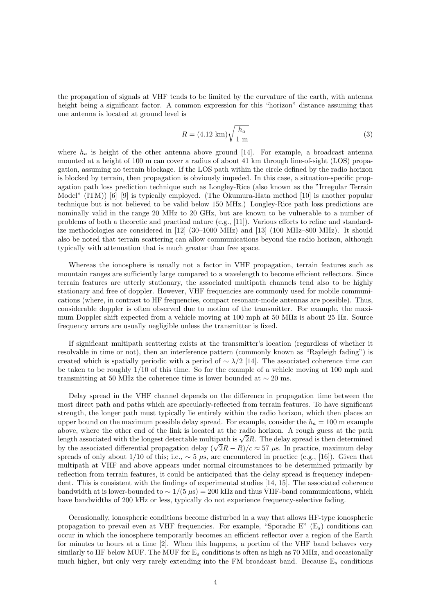the propagation of signals at VHF tends to be limited by the curvature of the earth, with antenna height being a significant factor. A common expression for this "horizon" distance assuming that one antenna is located at ground level is

$$
R = (4.12 \text{ km}) \sqrt{\frac{h_a}{1 \text{ m}}}
$$
\n
$$
(3)
$$

where  $h_a$  is height of the other antenna above ground [14]. For example, a broadcast antenna mounted at a height of 100 m can cover a radius of about 41 km through line-of-sight (LOS) propagation, assuming no terrain blockage. If the LOS path within the circle defined by the radio horizon is blocked by terrain, then propagation is obviously impeded. In this case, a situation-specific propagation path loss prediction technique such as Longley-Rice (also known as the "Irregular Terrain Model" (ITM) [6]–[9] is typically employed. (The Okumura-Hata method [10] is another popular technique but is not believed to be valid below 150 MHz.) Longley-Rice path loss predictions are nominally valid in the range 20 MHz to 20 GHz, but are known to be vulnerable to a number of problems of both a theoretic and practical nature (e.g., [11]). Various efforts to refine and standardize methodologies are considered in [12] (30–1000 MHz) and [13] (100 MHz–800 MHz). It should also be noted that terrain scattering can allow communications beyond the radio horizon, although typically with attenuation that is much greater than free space.

Whereas the ionosphere is usually not a factor in VHF propagation, terrain features such as mountain ranges are sufficiently large compared to a wavelength to become efficient reflectors. Since terrain features are utterly stationary, the associated multipath channels tend also to be highly stationary and free of doppler. However, VHF frequencies are commonly used for mobile communications (where, in contrast to HF frequencies, compact resonant-mode antennas are possible). Thus, considerable doppler is often observed due to motion of the transmitter. For example, the maximum Doppler shift expected from a vehicle moving at 100 mph at 50 MHz is about 25 Hz. Source frequency errors are usually negligible unless the transmitter is fixed.

If significant multipath scattering exists at the transmitter's location (regardless of whether it resolvable in time or not), then an interference pattern (commonly known as "Rayleigh fading") is created which is spatially periodic with a period of  $\sim \lambda/2$  [14]. The associated coherence time can be taken to be roughly 1/10 of this time. So for the example of a vehicle moving at 100 mph and transmitting at 50 MHz the coherence time is lower bounded at  $\sim 20$  ms.

Delay spread in the VHF channel depends on the difference in propagation time between the most direct path and paths which are specularly-reflected from terrain features. To have significant strength, the longer path must typically lie entirely within the radio horizon, which then places an upper bound on the maximum possible delay spread. For example, consider the  $h_a = 100$  m example above, where the other end of the link is located at the radio horizon. A rough guess at the path length associated with the longest detectable multipath is  $\sqrt{2}R$ . The delay spread is then determined by the associated differential propagation delay  $(\sqrt{2}R - R)/c \approx 57 \mu s$ . In practice, maximum delay spreads of only about  $1/10$  of this; i.e.,  $\sim 5 \mu s$ , are encountered in practice (e.g., [16]). Given that multipath at VHF and above appears under normal circumstances to be determined primarily by reflection from terrain features, it could be anticipated that the delay spread is frequency independent. This is consistent with the findings of experimental studies [14, 15]. The associated coherence bandwidth at is lower-bounded to  $\sim 1/(5 \,\mu s) = 200$  kHz and thus VHF-band communications, which have bandwidths of 200 kHz or less, typically do not experience frequency-selective fading.

Occasionally, ionospheric conditions become disturbed in a way that allows HF-type ionospheric propagation to prevail even at VHF frequencies. For example, "Sporadic E"  $(E_s)$  conditions can occur in which the ionosphere temporarily becomes an efficient reflector over a region of the Earth for minutes to hours at a time [2]. When this happens, a portion of the VHF band behaves very similarly to HF below MUF. The MUF for  $E_s$  conditions is often as high as 70 MHz, and occasionally much higher, but only very rarely extending into the FM broadcast band. Because  $E_s$  conditions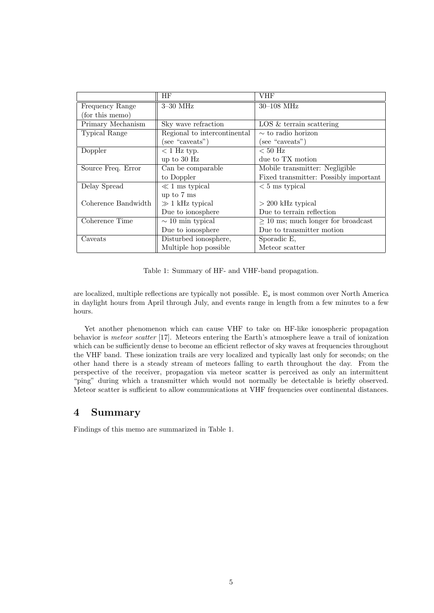|                      | HF                           | VHF                                     |
|----------------------|------------------------------|-----------------------------------------|
| Frequency Range      | $3-30$ MHz                   | $30 - 108$ MHz                          |
| (for this memo)      |                              |                                         |
| Primary Mechanism    | Sky wave refraction          | LOS & terrain scattering                |
| <b>Typical Range</b> | Regional to intercontinental | $\sim$ to radio horizon                 |
|                      | (see "caveats")              | (see "caveats")                         |
| Doppler              | $<$ 1 Hz typ.                | $< 50$ Hz                               |
|                      | up to $30$ Hz                | due to TX motion                        |
| Source Freq. Error   | Can be comparable            | Mobile transmitter: Negligible          |
|                      | to Doppler                   | Fixed transmitter: Possibly important   |
| Delay Spread         | $\ll 1$ ms typical           | $< 5$ ms typical                        |
|                      | up to 7 ms                   |                                         |
| Coherence Bandwidth  | $\gg$ 1 kHz typical          | $> 200$ kHz typical                     |
|                      | Due to ionosphere            | Due to terrain reflection               |
| Coherence Time       | $\sim$ 10 min typical        | $\geq$ 10 ms; much longer for broadcast |
|                      | Due to ionosphere            | Due to transmitter motion               |
| Caveats              | Disturbed ionosphere,        | Sporadic E,                             |
|                      | Multiple hop possible        | Meteor scatter                          |

Table 1: Summary of HF- and VHF-band propagation.

are localized, multiple reflections are typically not possible. E<sup>s</sup> is most common over North America in daylight hours from April through July, and events range in length from a few minutes to a few hours.

Yet another phenomenon which can cause VHF to take on HF-like ionospheric propagation behavior is meteor scatter [17]. Meteors entering the Earth's atmosphere leave a trail of ionization which can be sufficiently dense to become an efficient reflector of sky waves at frequencies throughout the VHF band. These ionization trails are very localized and typically last only for seconds; on the other hand there is a steady stream of meteors falling to earth throughout the day. From the perspective of the receiver, propagation via meteor scatter is perceived as only an intermittent "ping" during which a transmitter which would not normally be detectable is briefly observed. Meteor scatter is sufficient to allow communications at VHF frequencies over continental distances.

## 4 Summary

Findings of this memo are summarized in Table 1.